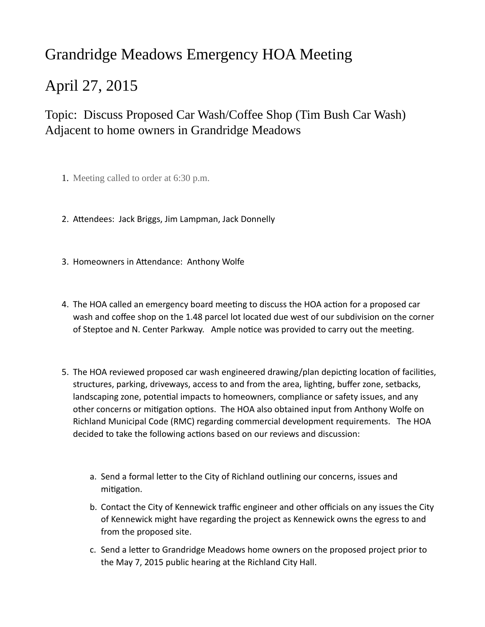## Grandridge Meadows Emergency HOA Meeting

## April 27, 2015

## Topic: Discuss Proposed Car Wash/Coffee Shop (Tim Bush Car Wash) Adjacent to home owners in Grandridge Meadows

- 1. Meeting called to order at 6:30 p.m.
- 2. Attendees: Jack Briggs, Jim Lampman, Jack Donnelly
- 3. Homeowners in Attendance: Anthony Wolfe
- 4. The HOA called an emergency board meeting to discuss the HOA action for a proposed car wash and coffee shop on the 1.48 parcel lot located due west of our subdivision on the corner of Steptoe and N. Center Parkway. Ample notice was provided to carry out the meeting.
- 5. The HOA reviewed proposed car wash engineered drawing/plan depicting location of facilities, structures, parking, driveways, access to and from the area, lighting, buffer zone, setbacks, landscaping zone, potential impacts to homeowners, compliance or safety issues, and any other concerns or mitigation options. The HOA also obtained input from Anthony Wolfe on Richland Municipal Code (RMC) regarding commercial development requirements. The HOA decided to take the following actions based on our reviews and discussion:
	- a. Send a formal letter to the City of Richland outlining our concerns, issues and mitigation.
	- b. Contact the City of Kennewick traffic engineer and other officials on any issues the City of Kennewick might have regarding the project as Kennewick owns the egress to and from the proposed site.
	- c. Send a letter to Grandridge Meadows home owners on the proposed project prior to the May 7, 2015 public hearing at the Richland City Hall.